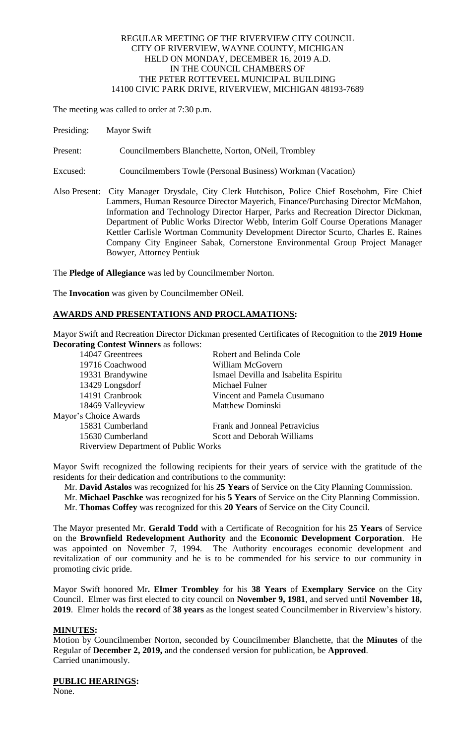## REGULAR MEETING OF THE RIVERVIEW CITY COUNCIL CITY OF RIVERVIEW, WAYNE COUNTY, MICHIGAN HELD ON MONDAY, DECEMBER 16, 2019 A.D. IN THE COUNCIL CHAMBERS OF THE PETER ROTTEVEEL MUNICIPAL BUILDING 14100 CIVIC PARK DRIVE, RIVERVIEW, MICHIGAN 48193-7689

The meeting was called to order at 7:30 p.m.

Presiding: Mayor Swift

Present: Councilmembers Blanchette, Norton, ONeil, Trombley

- Excused: Councilmembers Towle (Personal Business) Workman (Vacation)
- Also Present: City Manager Drysdale, City Clerk Hutchison, Police Chief Rosebohm, Fire Chief Lammers, Human Resource Director Mayerich, Finance/Purchasing Director McMahon, Information and Technology Director Harper, Parks and Recreation Director Dickman, Department of Public Works Director Webb, Interim Golf Course Operations Manager Kettler Carlisle Wortman Community Development Director Scurto, Charles E. Raines Company City Engineer Sabak, Cornerstone Environmental Group Project Manager Bowyer, Attorney Pentiuk

The **Pledge of Allegiance** was led by Councilmember Norton.

The **Invocation** was given by Councilmember ONeil.

# **AWARDS AND PRESENTATIONS AND PROCLAMATIONS:**

Mayor Swift and Recreation Director Dickman presented Certificates of Recognition to the **2019 Home Decorating Contest Winners** as follows:

| 14047 Greentrees                     | Robert and Belinda Cole               |  |
|--------------------------------------|---------------------------------------|--|
| 19716 Coachwood                      | William McGovern                      |  |
| 19331 Brandywine                     | Ismael Devilla and Isabelita Espiritu |  |
| 13429 Longsdorf                      | Michael Fulner                        |  |
| 14191 Cranbrook                      | Vincent and Pamela Cusumano           |  |
| 18469 Valleyview                     | <b>Matthew Dominski</b>               |  |
| Mayor's Choice Awards                |                                       |  |
| 15831 Cumberland                     | <b>Frank and Jonneal Petravicius</b>  |  |
| 15630 Cumberland                     | Scott and Deborah Williams            |  |
| Riverview Department of Public Works |                                       |  |

Mayor Swift recognized the following recipients for their years of service with the gratitude of the residents for their dedication and contributions to the community:

Mr. **David Astalos** was recognized for his **25 Years** of Service on the City Planning Commission.

 Mr. **Michael Paschke** was recognized for his **5 Years** of Service on the City Planning Commission. Mr. **Thomas Coffey** was recognized for this **20 Years** of Service on the City Council.

The Mayor presented Mr. **Gerald Todd** with a Certificate of Recognition for his **25 Years** of Service on the **Brownfield Redevelopment Authority** and the **Economic Development Corporation**. He was appointed on November 7, 1994. The Authority encourages economic development and revitalization of our community and he is to be commended for his service to our community in promoting civic pride.

Mayor Swift honored Mr**. Elmer Trombley** for his **38 Years** of **Exemplary Service** on the City Council. Elmer was first elected to city council on **November 9, 1981**, and served until **November 18, 2019**. Elmer holds the **record** of **38 years** as the longest seated Councilmember in Riverview's history.

## **MINUTES:**

Motion by Councilmember Norton, seconded by Councilmember Blanchette, that the **Minutes** of the Regular of **December 2, 2019,** and the condensed version for publication, be **Approved**. Carried unanimously.

### **PUBLIC HEARINGS:**

None.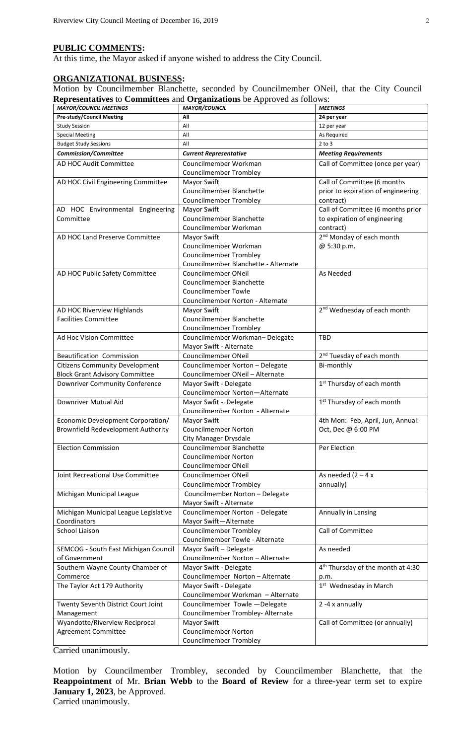## **PUBLIC COMMENTS:**

At this time, the Mayor asked if anyone wished to address the City Council.

# **ORGANIZATIONAL BUSINESS:**

Motion by Councilmember Blanchette, seconded by Councilmember ONeil, that the City Council **Representatives** to **Committees** and **Organizations** be Approved as follows:

| <b>MAYOR/COUNCIL MEETINGS</b>         | <b>MAYOR/COUNCIL</b>                 | <b>MEETINGS</b>                               |
|---------------------------------------|--------------------------------------|-----------------------------------------------|
| <b>Pre-study/Council Meeting</b>      | All                                  | 24 per year                                   |
| <b>Study Session</b>                  | All                                  | 12 per year                                   |
| <b>Special Meeting</b>                | All                                  | As Required                                   |
| <b>Budget Study Sessions</b>          | All                                  | $2$ to $3$                                    |
| <b>Commission/Committee</b>           | <b>Current Representative</b>        | <b>Meeting Requirements</b>                   |
| AD HOC Audit Committee                | Councilmember Workman                | Call of Committee (once per year)             |
|                                       | <b>Councilmember Trombley</b>        |                                               |
| AD HOC Civil Engineering Committee    | Mayor Swift                          | Call of Committee (6 months                   |
|                                       | Councilmember Blanchette             | prior to expiration of engineering            |
|                                       | <b>Councilmember Trombley</b>        | contract)                                     |
| AD HOC Environmental Engineering      | Mayor Swift                          | Call of Committee (6 months prior             |
| Committee                             | Councilmember Blanchette             | to expiration of engineering                  |
|                                       | Councilmember Workman                | contract)                                     |
| AD HOC Land Preserve Committee        | Mayor Swift                          | 2 <sup>nd</sup> Monday of each month          |
|                                       | Councilmember Workman                | @ 5:30 p.m.                                   |
|                                       | <b>Councilmember Trombley</b>        |                                               |
|                                       | Councilmember Blanchette - Alternate |                                               |
| AD HOC Public Safety Committee        | Councilmember ONeil                  | As Needed                                     |
|                                       | Councilmember Blanchette             |                                               |
|                                       | <b>Councilmember Towle</b>           |                                               |
|                                       | Councilmember Norton - Alternate     |                                               |
| AD HOC Riverview Highlands            | Mayor Swift                          | 2 <sup>nd</sup> Wednesday of each month       |
| <b>Facilities Committee</b>           | Councilmember Blanchette             |                                               |
|                                       | <b>Councilmember Trombley</b>        |                                               |
| Ad Hoc Vision Committee               | Councilmember Workman-Delegate       | <b>TBD</b>                                    |
|                                       | Mayor Swift - Alternate              |                                               |
| Beautification Commission             | Councilmember ONeil                  | 2 <sup>nd</sup> Tuesday of each month         |
| <b>Citizens Community Development</b> | Councilmember Norton - Delegate      | Bi-monthly                                    |
| <b>Block Grant Advisory Committee</b> | Councilmember ONeil - Alternate      |                                               |
| Downriver Community Conference        | Mayor Swift - Delegate               | 1 <sup>st</sup> Thursday of each month        |
|                                       | Councilmember Norton-Alternate       |                                               |
| Downriver Mutual Aid                  | Mayor Swfit - Delegate               | $1st$ Thursday of each month                  |
|                                       | Councilmember Norton - Alternate     |                                               |
| Economic Development Corporation/     | Mayor Swift                          | 4th Mon: Feb, April, Jun, Annual:             |
| Brownfield Redevelopment Authority    | <b>Councilmember Norton</b>          | Oct, Dec @ 6:00 PM                            |
|                                       | City Manager Drysdale                |                                               |
| <b>Election Commission</b>            | Councilmember Blanchette             | Per Election                                  |
|                                       | <b>Councilmember Norton</b>          |                                               |
|                                       | Councilmember ONeil                  |                                               |
| Joint Recreational Use Committee      | Councilmember ONeil                  | As needed $(2 - 4x)$                          |
|                                       | <b>Councilmember Trombley</b>        | annually)                                     |
| Michigan Municipal League             | Councilmember Norton - Delegate      |                                               |
|                                       | Mayor Swift - Alternate              |                                               |
| Michigan Municipal League Legislative | Councilmember Norton - Delegate      | Annually in Lansing                           |
| Coordinators                          | Mayor Swift-Alternate                |                                               |
| School Liaison                        | <b>Councilmember Trombley</b>        | Call of Committee                             |
|                                       | Councilmember Towle - Alternate      |                                               |
| SEMCOG - South East Michigan Council  | Mayor Swift - Delegate               | As needed                                     |
| of Government                         | Councilmember Norton - Alternate     |                                               |
| Southern Wayne County Chamber of      | Mayor Swift - Delegate               | 4 <sup>th</sup> Thursday of the month at 4:30 |
| Commerce                              | Councilmember Norton - Alternate     | p.m.                                          |
| The Taylor Act 179 Authority          | Mayor Swift - Delegate               | 1 <sup>st</sup> Wednesday in March            |
|                                       | Councilmember Workman - Alternate    |                                               |
| Twenty Seventh District Court Joint   | Councilmember Towle - Delegate       | 2 -4 x annually                               |
| Management                            | Councilmember Trombley- Alternate    |                                               |
| Wyandotte/Riverview Reciprocal        | Mayor Swift                          | Call of Committee (or annually)               |
| <b>Agreement Committee</b>            | <b>Councilmember Norton</b>          |                                               |
|                                       | <b>Councilmember Trombley</b>        |                                               |

Carried unanimously.

Motion by Councilmember Trombley, seconded by Councilmember Blanchette, that the **Reappointment** of Mr. **Brian Webb** to the **Board of Review** for a three-year term set to expire **January 1, 2023**, be Approved. Carried unanimously.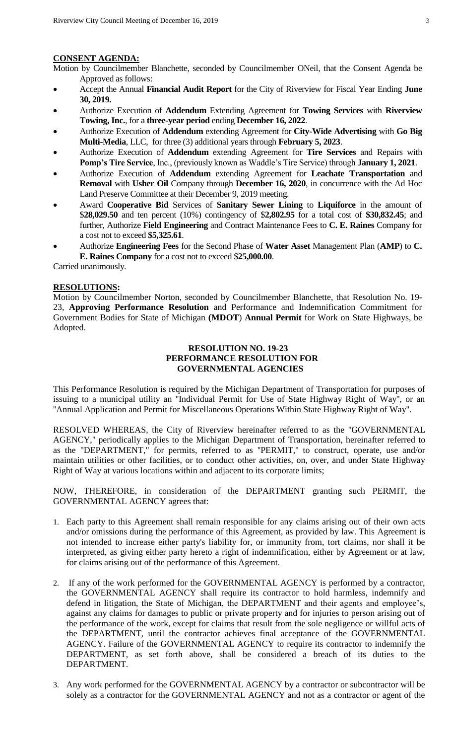#### **CONSENT AGENDA:**

Motion by Councilmember Blanchette, seconded by Councilmember ONeil, that the Consent Agenda be Approved as follows:

- Accept the Annual **Financial Audit Report** for the City of Riverview for Fiscal Year Ending **June 30, 2019.**
- Authorize Execution of **Addendum** Extending Agreement for **Towing Services** with **Riverview Towing, Inc.**, for a **three-year period** ending **December 16, 2022**.
- Authorize Execution of **Addendum** extending Agreement for **City-Wide Advertising** with **Go Big Multi-Media**, LLC, for three (3) additional years through **February 5, 2023**.
- Authorize Execution of **Addendum** extending Agreement for **Tire Services** and Repairs with **Pomp's Tire Service**, Inc., (previously known as Waddle's Tire Service) through **January 1, 2021**.
- Authorize Execution of **Addendum** extending Agreement for **Leachate Transportation** and **Removal** with **Usher Oil** Company through **December 16, 2020**, in concurrence with the Ad Hoc Land Preserve Committee at their December 9, 2019 meeting.
- Award **Cooperative Bid** Services of **Sanitary Sewer Lining** to **Liquiforce** in the amount of \$**28,029.50** and ten percent (10%) contingency of \$**2,802.95** for a total cost of **\$30,832.45**; and further, Authorize **Field Engineering** and Contract Maintenance Fees to **C. E. Raines** Company for a cost not to exceed **\$5,325.61**.
- Authorize **Engineering Fees** for the Second Phase of **Water Asset** Management Plan (**AMP**) to **C. E. Raines Company** for a cost not to exceed \$**25,000.00**.

Carried unanimously.

### **RESOLUTIONS:**

Motion by Councilmember Norton, seconded by Councilmember Blanchette, that Resolution No. 19- 23, **Approving Performance Resolution** and Performance and Indemnification Commitment for Government Bodies for State of Michigan **(MDOT**) **Annual Permit** for Work on State Highways, be Adopted.

### **RESOLUTION NO. 19-23 PERFORMANCE RESOLUTION FOR GOVERNMENTAL AGENCIES**

This Performance Resolution is required by the Michigan Department of Transportation for purposes of issuing to a municipal utility an ''Individual Permit for Use of State Highway Right of Way'', or an ''Annual Application and Permit for Miscellaneous Operations Within State Highway Right of Way''.

RESOLVED WHEREAS, the City of Riverview hereinafter referred to as the ''GOVERNMENTAL AGENCY,'' periodically applies to the Michigan Department of Transportation, hereinafter referred to as the "DEPARTMENT," for permits, referred to as ''PERMIT,'' to construct, operate, use and/or maintain utilities or other facilities, or to conduct other activities, on, over, and under State Highway Right of Way at various locations within and adjacent to its corporate limits;

NOW, THEREFORE, in consideration of the DEPARTMENT granting such PERMIT, the GOVERNMENTAL AGENCY agrees that:

- 1. Each party to this Agreement shall remain responsible for any claims arising out of their own acts and/or omissions during the performance of this Agreement, as provided by law. This Agreement is not intended to increase either party's liability for, or immunity from, tort claims, nor shall it be interpreted, as giving either party hereto a right of indemnification, either by Agreement or at law, for claims arising out of the performance of this Agreement.
- 2. If any of the work performed for the GOVERNMENTAL AGENCY is performed by a contractor, the GOVERNMENTAL AGENCY shall require its contractor to hold harmless, indemnify and defend in litigation, the State of Michigan, the DEPARTMENT and their agents and employee's, against any claims for damages to public or private property and for injuries to person arising out of the performance of the work, except for claims that result from the sole negligence or willful acts of the DEPARTMENT, until the contractor achieves final acceptance of the GOVERNMENTAL AGENCY. Failure of the GOVERNMENTAL AGENCY to require its contractor to indemnify the DEPARTMENT, as set forth above, shall be considered a breach of its duties to the DEPARTMENT.
- 3. Any work performed for the GOVERNMENTAL AGENCY by a contractor or subcontractor will be solely as a contractor for the GOVERNMENTAL AGENCY and not as a contractor or agent of the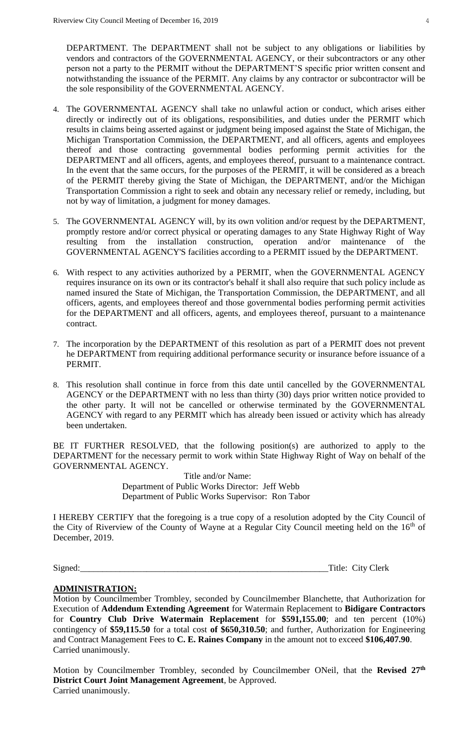DEPARTMENT. The DEPARTMENT shall not be subject to any obligations or liabilities by vendors and contractors of the GOVERNMENTAL AGENCY, or their subcontractors or any other person not a party to the PERMIT without the DEPARTMENT'S specific prior written consent and notwithstanding the issuance of the PERMIT. Any claims by any contractor or subcontractor will be the sole responsibility of the GOVERNMENTAL AGENCY.

- 4. The GOVERNMENTAL AGENCY shall take no unlawful action or conduct, which arises either directly or indirectly out of its obligations, responsibilities, and duties under the PERMIT which results in claims being asserted against or judgment being imposed against the State of Michigan, the Michigan Transportation Commission, the DEPARTMENT, and all officers, agents and employees thereof and those contracting governmental bodies performing permit activities for the DEPARTMENT and all officers, agents, and employees thereof, pursuant to a maintenance contract. In the event that the same occurs, for the purposes of the PERMIT, it will be considered as a breach of the PERMIT thereby giving the State of Michigan, the DEPARTMENT, and/or the Michigan Transportation Commission a right to seek and obtain any necessary relief or remedy, including, but not by way of limitation, a judgment for money damages.
- 5. The GOVERNMENTAL AGENCY will, by its own volition and/or request by the DEPARTMENT, promptly restore and/or correct physical or operating damages to any State Highway Right of Way resulting from the installation construction, operation and/or maintenance of the GOVERNMENTAL AGENCY'S facilities according to a PERMIT issued by the DEPARTMENT.
- 6. With respect to any activities authorized by a PERMIT, when the GOVERNMENTAL AGENCY requires insurance on its own or its contractor's behalf it shall also require that such policy include as named insured the State of Michigan, the Transportation Commission, the DEPARTMENT, and all officers, agents, and employees thereof and those governmental bodies performing permit activities for the DEPARTMENT and all officers, agents, and employees thereof, pursuant to a maintenance contract.
- 7. The incorporation by the DEPARTMENT of this resolution as part of a PERMIT does not prevent he DEPARTMENT from requiring additional performance security or insurance before issuance of a PERMIT.
- 8. This resolution shall continue in force from this date until cancelled by the GOVERNMENTAL AGENCY or the DEPARTMENT with no less than thirty (30) days prior written notice provided to the other party. It will not be cancelled or otherwise terminated by the GOVERNMENTAL AGENCY with regard to any PERMIT which has already been issued or activity which has already been undertaken.

BE IT FURTHER RESOLVED, that the following position(s) are authorized to apply to the DEPARTMENT for the necessary permit to work within State Highway Right of Way on behalf of the GOVERNMENTAL AGENCY.

> Title and/or Name: Department of Public Works Director: Jeff Webb Department of Public Works Supervisor: Ron Tabor

I HEREBY CERTIFY that the foregoing is a true copy of a resolution adopted by the City Council of the City of Riverview of the County of Wayne at a Regular City Council meeting held on the 16<sup>th</sup> of December, 2019.

Signed:\_\_\_\_\_\_\_\_\_\_\_\_\_\_\_\_\_\_\_\_\_\_\_\_\_\_\_\_\_\_\_\_\_\_\_\_\_\_\_\_\_\_\_\_\_\_\_\_\_\_\_\_\_\_\_\_Title: City Clerk

## **ADMINISTRATION:**

Motion by Councilmember Trombley, seconded by Councilmember Blanchette, that Authorization for Execution of **Addendum Extending Agreement** for Watermain Replacement to **Bidigare Contractors** for **Country Club Drive Watermain Replacement** for **\$591,155.00**; and ten percent (10%) contingency of **\$59,115.50** for a total cost **of \$650,310.50**; and further, Authorization for Engineering and Contract Management Fees to **C. E. Raines Company** in the amount not to exceed **\$106,407.90**. Carried unanimously.

Motion by Councilmember Trombley, seconded by Councilmember ONeil, that the **Revised 27th District Court Joint Management Agreement**, be Approved. Carried unanimously.